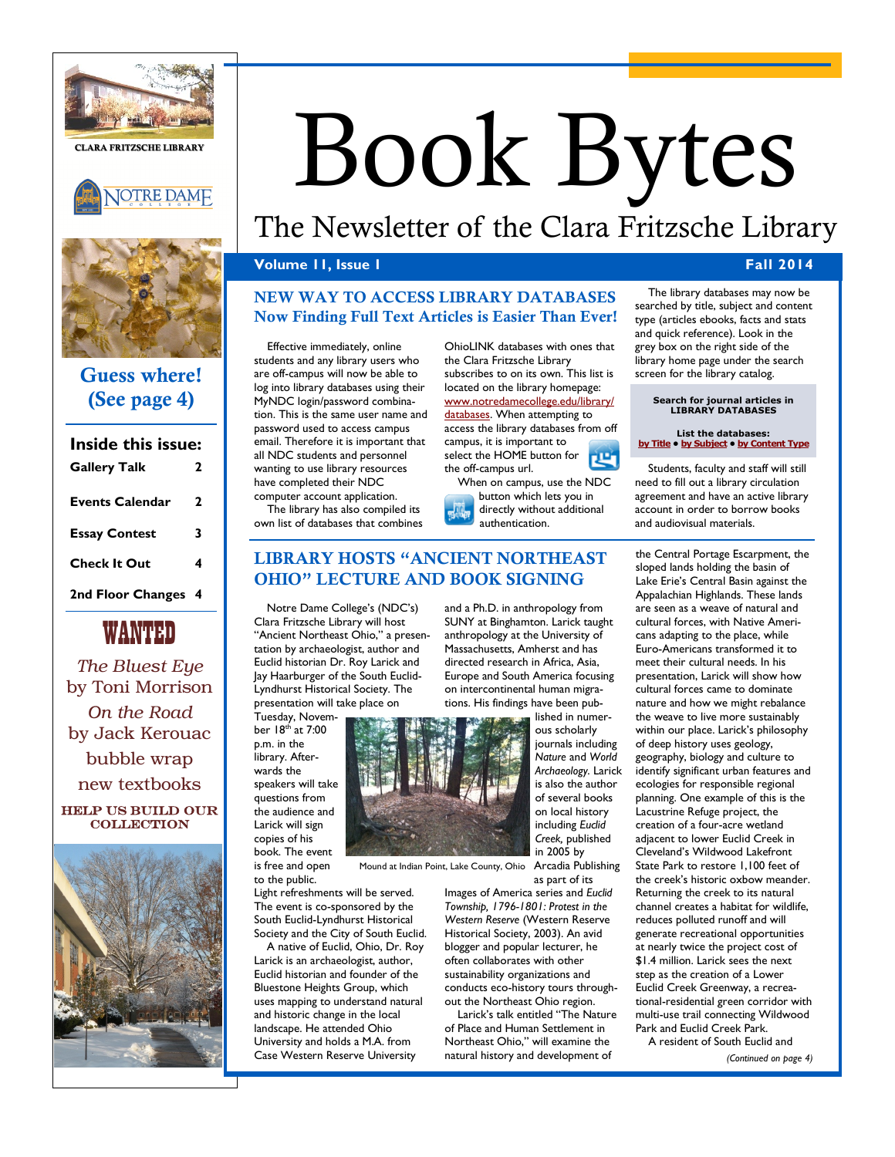

**CLARA FRITZSCHE LIBRARY**





# **Guess where! (See page 4)**

# **Inside this issue: Gallery Talk 2 Events Calendar 2 Essay Contest 3 Check It Out 4 2nd Floor Changes 4**

WANTED

*The Bluest Eye* by Toni Morrison *On the Road* by Jack Kerouac bubble wrap new textbooks Help us build our **COLLECTION** 



# Book Bytes

# The Newsletter of the Clara Fritzsche Library

# **Volume 11, Issue 1 Fall 2014**

# **NEW WAY TO ACCESS LIBRARY DATABASES Now Finding Full Text Articles is Easier Than Ever!**

Effective immediately, online students and any library users who are off-campus will now be able to log into library databases using their MyNDC login/password combination. This is the same user name and password used to access campus email. Therefore it is important that all NDC students and personnel wanting to use library resources have completed their NDC computer account application. The library has also compiled its

own list of databases that combines

OhioLINK databases with ones that the Clara Fritzsche Library subscribes to on its own. This list is located on the library homepage: [www.notredamecollege.edu/library/](http://www.notredamecollege.edu/library/databases) [databases.](http://www.notredamecollege.edu/library/databases) When attempting to access the library databases from off campus, it is important to select the HOME button for 四 the off-campus url.

When on campus, use the NDC button which lets you in directly without additional authentication.

# **LIBRARY HOSTS "ANCIENT NORTHEAST OHIO" LECTURE AND BOOK SIGNING**

Notre Dame College's (NDC's) Clara Fritzsche Library will host "Ancient Northeast Ohio," a presentation by archaeologist, author and Euclid historian Dr. Roy Larick and Jay Haarburger of the South Euclid-Lyndhurst Historical Society. The presentation will take place on

Tuesday, November 18<sup>th</sup> at 7:00 p.m. in the library. Afterwards the speakers will take questions from the audience and Larick will sign copies of his book. The event is free and open

to the public. Light refreshments will be served. The event is co-sponsored by the South Euclid-Lyndhurst Historical Society and the City of South Euclid.

A native of Euclid, Ohio, Dr. Roy Larick is an archaeologist, author, Euclid historian and founder of the Bluestone Heights Group, which uses mapping to understand natural and historic change in the local landscape. He attended Ohio University and holds a M.A. from Case Western Reserve University

and a Ph.D. in anthropology from SUNY at Binghamton. Larick taught anthropology at the University of Massachusetts, Amherst and has directed research in Africa, Asia, Europe and South America focusing on intercontinental human migrations. His findings have been published in numer-

> journals including *Nature* and *World*



Mound at Indian Point, Lake County, Ohio Arcadia Publishing

as part of its Images of America series and *Euclid Township, 1796-1801: Protest in the Western Reserve* (Western Reserve Historical Society, 2003). An avid blogger and popular lecturer, he often collaborates with other sustainability organizations and conducts eco-history tours throughout the Northeast Ohio region.

Larick's talk entitled "The Nature of Place and Human Settlement in Northeast Ohio," will examine the natural history and development of

The library databases may now be searched by title, subject and content type (articles ebooks, facts and stats and quick reference). Look in the grey box on the right side of the library home page under the search screen for the library catalog.

# **Search for journal articles in LIBRARY DATABASES**

#### **List the databases[:](http://www.notredamecollege.edu/resources-and-services/clara-fritzsche-library/search-for-books-articles-and-more/Databases-Alphabetical-List) [by Title](http://www.notredamecollege.edu/resources-and-services/clara-fritzsche-library/search-for-books-articles-and-more/Databases-Alphabetical-List) • [by Subject](http://www.notredamecollege.edu/resources-and-services/clara-fritzsche-library/search-for-books-articles-and-more/Databases-by-Subject) • [by Content Type](http://www.notredamecollege.edu/resources-and-services/clara-fritzsche-library/search-for-books-articles-and-more/Databases-by-Type)**

Students, faculty and staff will still need to fill out a library circulation agreement and have an active library account in order to borrow books and audiovisual materials.

the Central Portage Escarpment, the sloped lands holding the basin of Lake Erie's Central Basin against the Appalachian Highlands. These lands are seen as a weave of natural and cultural forces, with Native Americans adapting to the place, while Euro-Americans transformed it to meet their cultural needs. In his presentation, Larick will show how cultural forces came to dominate nature and how we might rebalance the weave to live more sustainably within our place. Larick's philosophy of deep history uses geology, geography, biology and culture to identify significant urban features and ecologies for responsible regional planning. One example of this is the Lacustrine Refuge project, the creation of a four-acre wetland adjacent to lower Euclid Creek in Cleveland's Wildwood Lakefront State Park to restore 1,100 feet of the creek's historic oxbow meander. Returning the creek to its natural channel creates a habitat for wildlife, reduces polluted runoff and will generate recreational opportunities at nearly twice the project cost of \$1.4 million. Larick sees the next step as the creation of a Lower Euclid Creek Greenway, a recreational-residential green corridor with multi-use trail connecting Wildwood Park and Euclid Creek Park.

A resident of South Euclid and *(Continued on page 4)*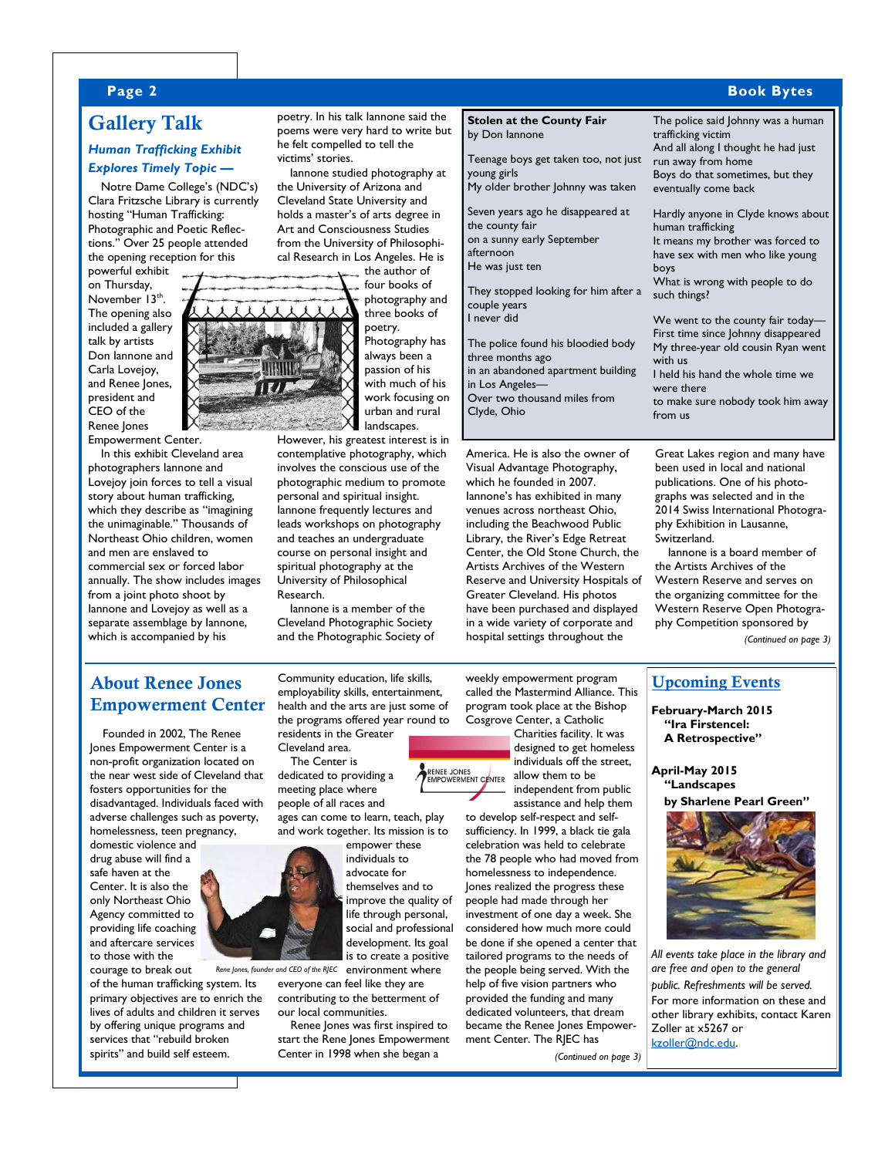## **Page 2 Book Bytes**

# **Gallery Talk**

## *Human Trafficking Exhibit Explores Timely Topic —*

Notre Dame College's (NDC's) Clara Fritzsche Library is currently hosting "Human Trafficking: Photographic and Poetic Reflections." Over 25 people attended the opening reception for this

powerful exhibit on Thursday, November 13<sup>th</sup>. The opening also included a gallery talk by artists Don Iannone and Carla Lovejoy, and Renee Jones, president and CEO of the Renee Jones Empowerment Center.

In this exhibit Cleveland area photographers Iannone and Lovejoy join forces to tell a visual story about human trafficking, which they describe as "imagining the unimaginable." Thousands of Northeast Ohio children, women and men are enslaved to commercial sex or forced labor annually. The show includes images from a joint photo shoot by Iannone and Lovejoy as well as a separate assemblage by Iannone, which is accompanied by his

poetry. In his talk Iannone said the poems were very hard to write but he felt compelled to tell the victims' stories.

Iannone studied photography at the University of Arizona and Cleveland State University and holds a master's of arts degree in Art and Consciousness Studies from the University of Philosophical Research in Los Angeles. He is

the author of four books of

photography and three books of poetry. Photography has always been a passion of his with much of his work focusing on urban and rural landscapes.

However, his greatest interest is in contemplative photography, which involves the conscious use of the photographic medium to promote personal and spiritual insight. Iannone frequently lectures and leads workshops on photography and teaches an undergraduate course on personal insight and spiritual photography at the University of Philosophical Research.

Iannone is a member of the Cleveland Photographic Society and the Photographic Society of

| <b>Stolen at the County Fair</b><br>by Don lannone<br>Teenage boys get taken too, not just<br>young girls<br>My older brother Johnny was taken                                                                                                                                                                                                              | The police said Johnny was a human<br>trafficking victim<br>And all along I thought he had just<br>run away from home<br>Boys do that sometimes, but they<br>eventually come back                                                                                                                                                                                                                                           |
|-------------------------------------------------------------------------------------------------------------------------------------------------------------------------------------------------------------------------------------------------------------------------------------------------------------------------------------------------------------|-----------------------------------------------------------------------------------------------------------------------------------------------------------------------------------------------------------------------------------------------------------------------------------------------------------------------------------------------------------------------------------------------------------------------------|
| Seven years ago he disappeared at<br>the county fair<br>on a sunny early September<br>afternoon<br>He was just ten<br>They stopped looking for him after a<br>couple years<br>I never did<br>The police found his bloodied body<br>three months ago<br>in an abandoned apartment building<br>in Los Angeles-<br>Over two thousand miles from<br>Clyde, Ohio | Hardly anyone in Clyde knows about<br>human trafficking<br>It means my brother was forced to<br>have sex with men who like young<br>boys<br>What is wrong with people to do<br>such things?<br>We went to the county fair today-<br>First time since Johnny disappeared<br>My three-year old cousin Ryan went<br>with us<br>I held his hand the whole time we<br>were there<br>to make sure nobody took him away<br>from us |
| America. He is also the owner of<br>Visual Advantage Photography,                                                                                                                                                                                                                                                                                           | Great Lakes region and many have<br>been used in local and national                                                                                                                                                                                                                                                                                                                                                         |

which he founded in 2007. Iannone's has exhibited in many venues across northeast Ohio, including the Beachwood Public Library, the River's Edge Retreat Center, the Old Stone Church, the Artists Archives of the Western Reserve and University Hospitals of Greater Cleveland. His photos have been purchased and displayed in a wide variety of corporate and hospital settings throughout the

ay have been used in local and national publications. One of his photographs was selected and in the 2014 Swiss International Photography Exhibition in Lausanne, Switzerland. Iannone is a board member of

the Artists Archives of the Western Reserve and serves on the organizing committee for the Western Reserve Open Photography Competition sponsored by

*(Continued on page 3)*

# **About Renee Jones Empowerment Center** health and the arts are just some of program took place at the Bishop February-March 2015

Founded in 2002, The Renee Jones Empowerment Center is a non-profit organization located on the near west side of Cleveland that fosters opportunities for the disadvantaged. Individuals faced with adverse challenges such as poverty, homelessness, teen pregnancy,

domestic violence and drug abuse will find a safe haven at the Center. It is also the only Northeast Ohio Agency committed to providing life coaching and aftercare services to those with the

courage to break out of the human trafficking system. Its primary objectives are to enrich the lives of adults and children it serves by offering unique programs and services that "rebuild broken spirits" and build self esteem.

Community education, life skills, employability skills, entertainment, health and the arts are just some of the programs offered year round to residents in the Greater

Cleveland area. The Center is dedicated to providing a meeting place where

people of all races and ages can come to learn, teach, play and work together. Its mission is to

> empower these individuals to advocate for themselves and to improve the quality of life through personal, social and professional development. Its goal is to create a positive

Rene Jones, founder and CEO of the RJEC environment where everyone can feel like they are contributing to the betterment of our local communities.

> Renee Jones was first inspired to start the Rene Jones Empowerment Center in 1998 when she began a

weekly empowerment program called the Mastermind Alliance. This program took place at the Bishop Cosgrove Center, a Catholic

Charities facility. It was designed to get homeless individuals off the street, RENEE JONES allow them to be independent from public

assistance and help them to develop self-respect and selfsufficiency. In 1999, a black tie gala celebration was held to celebrate the 78 people who had moved from homelessness to independence. Jones realized the progress these people had made through her investment of one day a week. She considered how much more could be done if she opened a center that tailored programs to the needs of the people being served. With the help of five vision partners who provided the funding and many dedicated volunteers, that dream became the Renee Jones Empowerment Center. The RJEC has

*(Continued on page 3)*

# **Upcoming Events**

**"Ira Firstencel: A Retrospective"**

**April-May 2015 "Landscapes by Sharlene Pearl Green"**



*All events take place in the library and are free and open to the general public. Refreshments will be served.* For more information on these and other library exhibits, contact Karen Zoller at x5267 or [kzoller@ndc.edu.](mailto:kzoller@ndc.edu?subject=Upcoming%20Library%20Events)

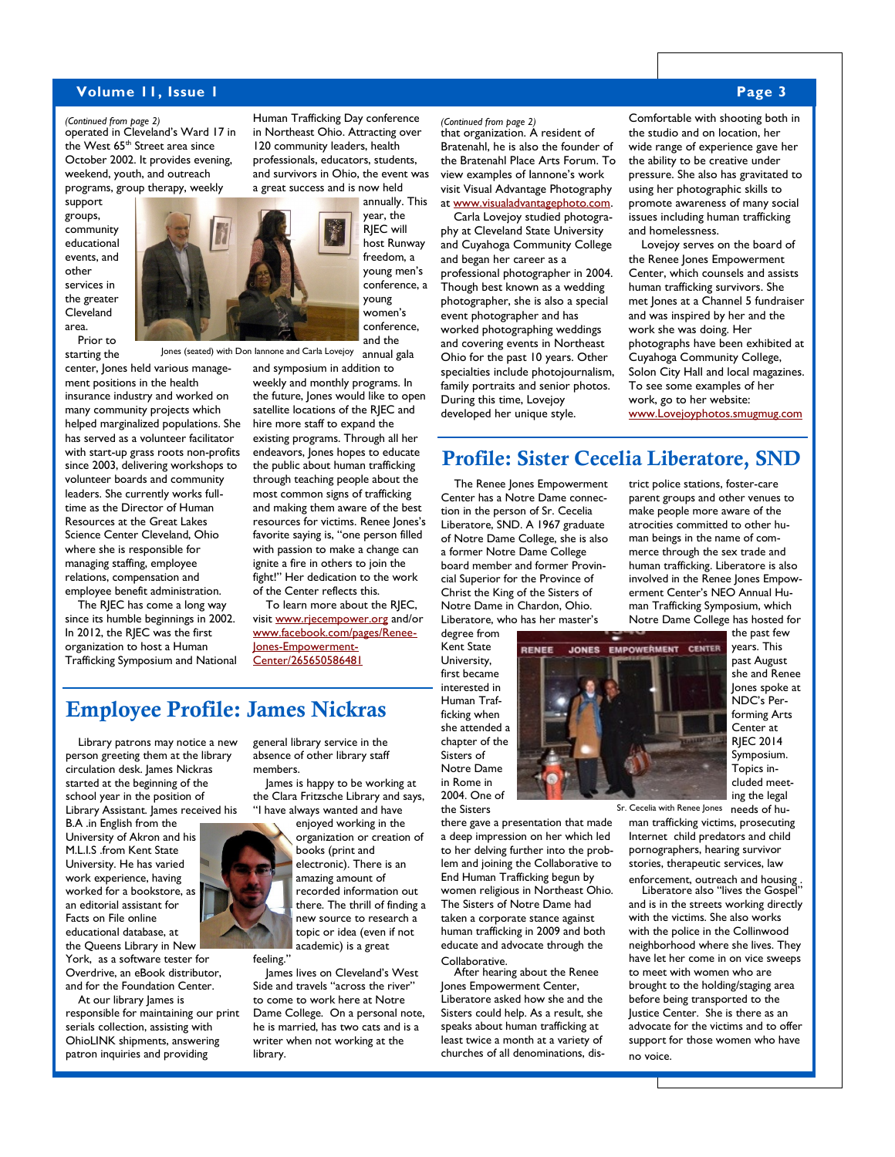## **Volume 11, Issue 1 Page 3**

operated in Cleveland's Ward 17 in *(Continued from page 2)* the West 65<sup>th</sup> Street area since October 2002. It provides evening, weekend, youth, and outreach programs, group therapy, weekly

support groups, community educational events, and other services in the greater Cleveland area. Prior to

starting the

center, Jones held various management positions in the health insurance industry and worked on many community projects which helped marginalized populations. She has served as a volunteer facilitator with start-up grass roots non-profits since 2003, delivering workshops to volunteer boards and community leaders. She currently works fulltime as the Director of Human Resources at the Great Lakes Science Center Cleveland, Ohio where she is responsible for managing staffing, employee relations, compensation and employee benefit administration.

The RJEC has come a long way since its humble beginnings in 2002. In 2012, the RJEC was the first organization to host a Human Trafficking Symposium and National Human Trafficking Day conference in Northeast Ohio. Attracting over 120 community leaders, health professionals, educators, students, and survivors in Ohio, the event was a great success and is now held

> annually. This year, the RJEC will host Runway freedom, a young men's conference, a young women's conference, and the

Jones (seated) with Don Iannone and Carla Lovejoy annual gala and symposium in addition to weekly and monthly programs. In the future, Jones would like to open satellite locations of the RJEC and hire more staff to expand the existing programs. Through all her endeavors, Jones hopes to educate the public about human trafficking through teaching people about the most common signs of trafficking and making them aware of the best resources for victims. Renee Jones's favorite saying is, "one person filled with passion to make a change can ignite a fire in others to join the fight!" Her dedication to the work of the Center reflects this.

> To learn more about the RJEC, visit [www.rjecempower.org](http://www.rjecempower.org) and/or [www.facebook.com/pages/Renee-](http://www.facebook.com/pages/Renee-Jones-Empowerment-Center/265650586481)[Jones-Empowerment-](http://www.facebook.com/pages/Renee-Jones-Empowerment-Center/265650586481)[Center/265650586481](http://www.facebook.com/pages/Renee-Jones-Empowerment-Center/265650586481)

# **Employee Profile: James Nickras**

Library patrons may notice a new person greeting them at the library circulation desk. James Nickras started at the beginning of the school year in the position of Library Assistant. James received his

B.A .in English from the University of Akron and his M.L.I.S .from Kent State University. He has varied work experience, having worked for a bookstore, as an editorial assistant for Facts on File online educational database, at the Queens Library in New

York, as a software tester for Overdrive, an eBook distributor, and for the Foundation Center.

At our library James is responsible for maintaining our print serials collection, assisting with OhioLINK shipments, answering patron inquiries and providing

general library service in the absence of other library staff members.

James is happy to be working at the Clara Fritzsche Library and says, "I have always wanted and have

enjoyed working in the organization or creation of books (print and electronic). There is an amazing amount of recorded information out there. The thrill of finding a new source to research a topic or idea (even if not academic) is a great

James lives on Cleveland's West Side and travels "across the river" to come to work here at Notre Dame College. On a personal note, he is married, has two cats and is a writer when not working at the library.

that organization. A resident of *(Continued from page 2)* Bratenahl, he is also the founder of the Bratenahl Place Arts Forum. To view examples of Iannone's work visit Visual Advantage Photography at [www.visualadvantagephoto.com.](http://www.visualadvantagephoto.com)

Carla Lovejoy studied photography at Cleveland State University and Cuyahoga Community College and began her career as a professional photographer in 2004. Though best known as a wedding photographer, she is also a special event photographer and has worked photographing weddings and covering events in Northeast Ohio for the past 10 years. Other specialties include photojournalism, family portraits and senior photos. During this time, Lovejoy developed her unique style.

Comfortable with shooting both in the studio and on location, her wide range of experience gave her the ability to be creative under pressure. She also has gravitated to using her photographic skills to promote awareness of many social issues including human trafficking and homelessness.

Lovejoy serves on the board of the Renee Jones Empowerment Center, which counsels and assists human trafficking survivors. She met Jones at a Channel 5 fundraiser and was inspired by her and the work she was doing. Her photographs have been exhibited at Cuyahoga Community College, Solon City Hall and local magazines. To see some examples of her work, go to her website: [www.Lovejoyphotos.smugmug.com](http://www.Lovejoyphotos.smugmug.com)

# **Profile: Sister Cecelia Liberatore, SND**

The Renee Jones Empowerment Center has a Notre Dame connection in the person of Sr. Cecelia Liberatore, SND. A 1967 graduate of Notre Dame College, she is also a former Notre Dame College board member and former Provincial Superior for the Province of Christ the King of the Sisters of Notre Dame in Chardon, Ohio. Liberatore, who has her master's

degree from Kent State University, first became interested in Human Trafficking when she attended a chapter of the Sisters of Notre Dame in Rome in 2004. One of the Sisters

there gave a presentation that made a deep impression on her which led to her delving further into the problem and joining the Collaborative to End Human Trafficking begun by women religious in Northeast Ohio. The Sisters of Notre Dame had taken a corporate stance against human trafficking in 2009 and both educate and advocate through the Collaborative.

After hearing about the Renee Jones Empowerment Center, Liberatore asked how she and the Sisters could help. As a result, she speaks about human trafficking at least twice a month at a variety of churches of all denominations, district police stations, foster-care parent groups and other venues to make people more aware of the atrocities committed to other human beings in the name of commerce through the sex trade and human trafficking. Liberatore is also involved in the Renee Jones Empowerment Center's NEO Annual Human Trafficking Symposium, which Notre Dame College has hosted for



the past few years. This past August she and Renee Jones spoke at NDC's Performing Arts Center at RJEC 2014 Symposium. Topics included meeting the legal

Sr. Cecelia with Renee Jones needs of hu-

man trafficking victims, prosecuting Internet child predators and child pornographers, hearing survivor stories, therapeutic services, law

enforcement, outreach and housing . Liberatore also "lives the Gospel"

and is in the streets working directly with the victims. She also works with the police in the Collinwood neighborhood where she lives. They have let her come in on vice sweeps to meet with women who are brought to the holding/staging area before being transported to the Justice Center. She is there as an advocate for the victims and to offer support for those women who have no voice.